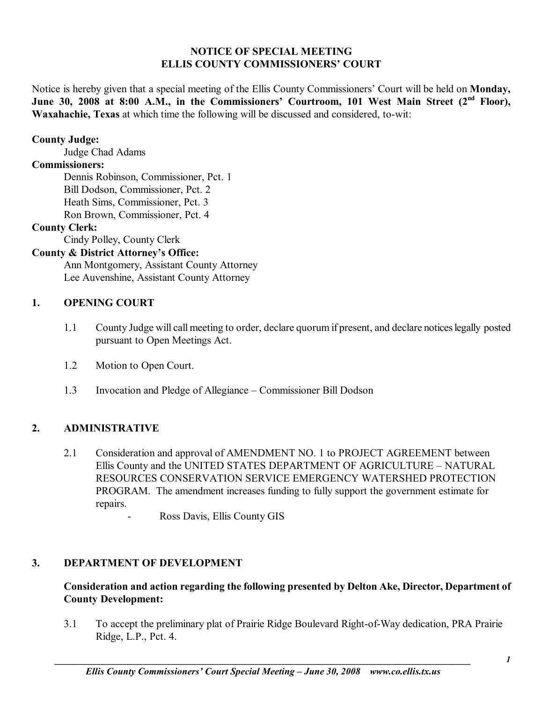## **NOTICE OF SPECIAL MEETING ELLIS COUNTY COMMISSIONERS' COURT**

Notice is hereby given that a special meeting of the Ellis County Commissioners' Court will be held on **Monday**, June 30, 2008 at 8:00 A.M., in the Commissioners' Courtroom, 101 West Main Street (2<sup>nd</sup> Floor), **Waxahachie, Texas** at which time the following will be discussed and considered, to-wit:

## **County Judge:**

Judge Chad Adams

# **Commissioners:**

 Dennis Robinson, Commissioner, Pct. 1 Bill Dodson, Commissioner, Pct. 2 Heath Sims, Commissioner, Pct. 3 Ron Brown, Commissioner, Pct. 4

## **County Clerk:**

Cindy Polley, County Clerk

# **County & District Attorney's Office:**

 Ann Montgomery, Assistant County Attorney Lee Auvenshine, Assistant County Attorney

## **1. OPENING COURT**

- 1.1 County Judge will call meeting to order, declare quorum if present, and declare notices legally posted pursuant to Open Meetings Act.
- 1.2 Motion to Open Court.
- 1.3 Invocation and Pledge of Allegiance Commissioner Bill Dodson

# **2. ADMINISTRATIVE**

- 2.1 Consideration and approval of AMENDMENT NO. 1 to PROJECT AGREEMENT between Ellis County and the UNITED STATES DEPARTMENT OF AGRICULTURE - NATURAL RESOURCES CONSERVATION SERVICE EMERGENCY WATERSHED PROTECTION PROGRAM. The amendment increases funding to fully support the government estimate for repairs.
	- Ross Davis, Ellis County GIS

# **3. DEPARTMENT OF DEVELOPMENT**

## **Consideration and action regarding the following presented by Delton Ake, Director, Department of County Development:**

 3.1 To accept the preliminary plat of Prairie Ridge Boulevard Right-of-Way dedication, PRA Prairie Ridge, L.P., Pct. 4.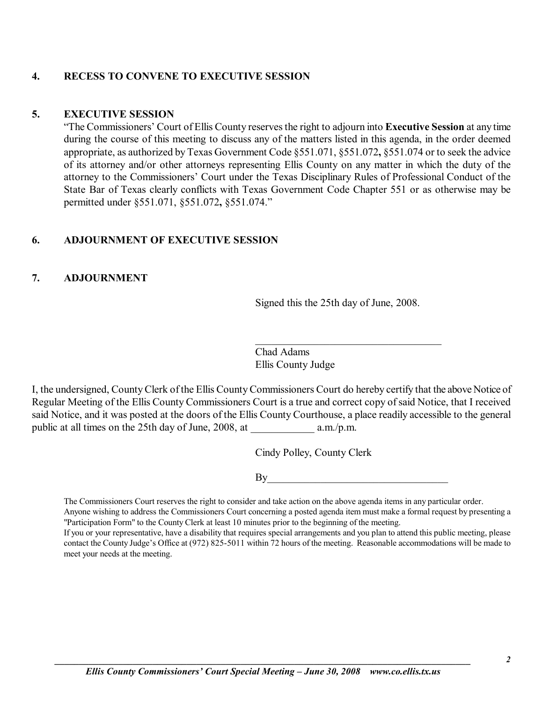## **4. RECESS TO CONVENE TO EXECUTIVE SESSION**

#### **5. EXECUTIVE SESSION**

ìThe Commissionersí Court of Ellis County reserves the right to adjourn into **Executive Session** at any time during the course of this meeting to discuss any of the matters listed in this agenda, in the order deemed appropriate, as authorized by Texas Government Code ß551.071, ß551.072**,** ß551.074 or to seek the advice of its attorney and/or other attorneys representing Ellis County on any matter in which the duty of the attorney to the Commissioners' Court under the Texas Disciplinary Rules of Professional Conduct of the State Bar of Texas clearly conflicts with Texas Government Code Chapter 551 or as otherwise may be permitted under ß551.071, ß551.072**,** ß551.074.î

## **6. ADJOURNMENT OF EXECUTIVE SESSION**

## **7. ADJOURNMENT**

Signed this the 25th day of June, 2008.

 $\mathcal{L}_\text{max}$ 

Chad Adams Ellis County Judge

I, the undersigned, County Clerk of the Ellis County Commissioners Court do hereby certify that the above Notice of Regular Meeting of the Ellis County Commissioners Court is a true and correct copy of said Notice, that I received said Notice, and it was posted at the doors of the Ellis County Courthouse, a place readily accessible to the general public at all times on the 25th day of June, 2008, at a.m./p.m.

Cindy Polley, County Clerk

 $\mathbf{By}$ 

The Commissioners Court reserves the right to consider and take action on the above agenda items in any particular order.

Anyone wishing to address the Commissioners Court concerning a posted agenda item must make a formal request by presenting a "Participation Form" to the County Clerk at least 10 minutes prior to the beginning of the meeting.

If you or your representative, have a disability that requires special arrangements and you plan to attend this public meeting, please contact the County Judge's Office at (972) 825-5011 within 72 hours of the meeting. Reasonable accommodations will be made to meet your needs at the meeting.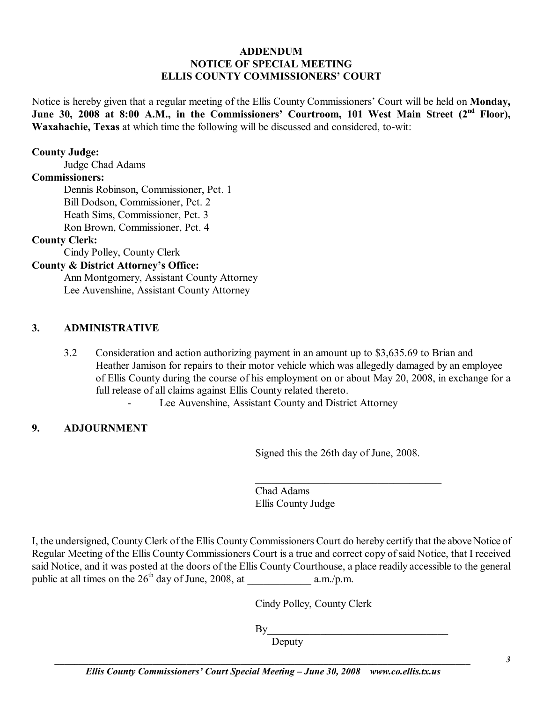## **ADDENDUM NOTICE OF SPECIAL MEETING ELLIS COUNTY COMMISSIONERS' COURT**

Notice is hereby given that a regular meeting of the Ellis County Commissioners' Court will be held on **Monday**, June 30, 2008 at 8:00 A.M., in the Commissioners' Courtroom, 101 West Main Street (2<sup>nd</sup> Floor), **Waxahachie, Texas** at which time the following will be discussed and considered, to-wit:

#### **County Judge:**

Judge Chad Adams

#### **Commissioners:**

 Dennis Robinson, Commissioner, Pct. 1 Bill Dodson, Commissioner, Pct. 2 Heath Sims, Commissioner, Pct. 3 Ron Brown, Commissioner, Pct. 4

#### **County Clerk:**

Cindy Polley, County Clerk

### **County & District Attorney's Office:**

 Ann Montgomery, Assistant County Attorney Lee Auvenshine, Assistant County Attorney

#### **3. ADMINISTRATIVE**

3.2 Consideration and action authorizing payment in an amount up to \$3,635.69 to Brian and Heather Jamison for repairs to their motor vehicle which was allegedly damaged by an employee of Ellis County during the course of his employment on or about May 20, 2008, in exchange for a full release of all claims against Ellis County related thereto.

Lee Auvenshine, Assistant County and District Attorney

## **9. ADJOURNMENT**

Signed this the 26th day of June, 2008.

 $\mathcal{L}_\text{max}$ 

Chad Adams Ellis County Judge

I, the undersigned, County Clerk of the Ellis County Commissioners Court do hereby certify that the above Notice of Regular Meeting of the Ellis County Commissioners Court is a true and correct copy of said Notice, that I received said Notice, and it was posted at the doors of the Ellis County Courthouse, a place readily accessible to the general public at all times on the  $26<sup>th</sup>$  day of June, 2008, at a.m./p.m.

Cindy Polley, County Clerk

 $By \_$ 

Deputy